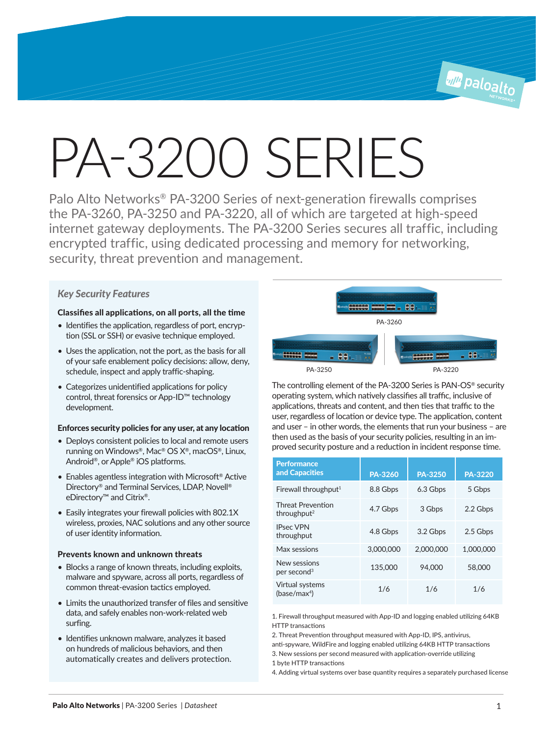# PA-3200 SERIES

Palo Alto Networks® PA-3200 Series of next-generation firewalls comprises the PA-3260, PA-3250 and PA-3220, all of which are targeted at high-speed internet gateway deployments. The PA-3200 Series secures all traffic, including encrypted traffic, using dedicated processing and memory for networking, security, threat prevention and management.

# *Key Security Features*

# Classifies all applications, on all ports, all the time

- Identifies the application, regardless of port, encryption (SSL or SSH) or evasive technique employed.
- Uses the application, not the port, as the basis for all of your safe enablement policy decisions: allow, deny, schedule, inspect and apply traffic-shaping.
- Categorizes unidentified applications for policy control, threat forensics or App-ID™ technology development.

# Enforces security policies for any user, at any location

- Deploys consistent policies to local and remote users running on Windows®, Mac® OS X®, macOS®, Linux, Android®, or Apple® iOS platforms.
- Enables agentless integration with Microsoft® Active Directory® and Terminal Services, LDAP, Novell® eDirectory™ and Citrix®.
- Easily integrates your firewall policies with 802.1X wireless, proxies, NAC solutions and any other source of user identity information.

# Prevents known and unknown threats

- Blocks a range of known threats, including exploits, malware and spyware, across all ports, regardless of common threat-evasion tactics employed.
- Limits the unauthorized transfer of files and sensitive data, and safely enables non-work-related web surfing.
- Identifies unknown malware, analyzes it based on hundreds of malicious behaviors, and then automatically creates and delivers protection.



The controlling element of the PA-3200 Series is PAN-OS® security operating system, which natively classifies all traffic, inclusive of applications, threats and content, and then ties that traffic to the user, regardless of location or device type. The application, content and user – in other words, the elements that run your business – are then used as the basis of your security policies, resulting in an improved security posture and a reduction in incident response time.

| <b>Performance</b><br>and Capacities                | PA-3260   | <b>PA-3250</b> | <b>PA-3220</b> |
|-----------------------------------------------------|-----------|----------------|----------------|
| Firewall throughput <sup>1</sup>                    | 8.8 Gbps  | 6.3 Gbps       | 5 Gbps         |
| <b>Threat Prevention</b><br>throughput <sup>2</sup> | 4.7 Gbps  | 3 Gbps         | 2.2 Gbps       |
| <b>IPsec VPN</b><br>throughput                      | 4.8 Gbps  | 3.2 Gbps       | 2.5 Gbps       |
| Max sessions                                        | 3,000,000 | 2,000,000      | 1.000.000      |
| New sessions<br>per second <sup>3</sup>             | 135,000   | 94,000         | 58,000         |
| Virtual systems<br>(base/max <sup>4</sup> )         | 1/6       | 1/6            | 1/6            |

1. Firewall throughput measured with App-ID and logging enabled utilizing 64KB HTTP transactions

2. Threat Prevention throughput measured with App-ID, IPS, antivirus,

anti-spyware, WildFire and logging enabled utilizing 64KB HTTP transactions

3. New sessions per second measured with application-override utilizing 1 byte HTTP transactions

4. Adding virtual systems over base quantity requires a separately purchased license

**All Paloalto**